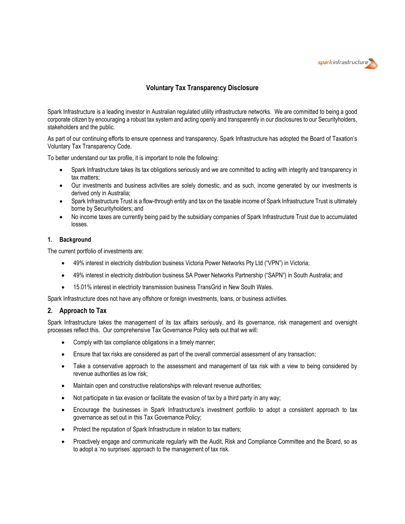

# **Voluntary Tax Transparency Disclosure**

Spark Infrastructure is a leading investor in Australian regulated utility infrastructure networks. We are committed to being a good corporate citizen by encouraging a robust tax system and acting openly and transparently in our disclosures to our Securityholders, stakeholders and the public.

As part of our continuing efforts to ensure openness and transparency, Spark Infrastructure has adopted the Board of Taxation's Voluntary Tax Transparency Code.

To better understand our tax profile, it is important to note the following:

- Spark Infrastructure takes its tax obligations seriously and we are committed to acting with integrity and transparency in tax matters;
- Our investments and business activities are solely domestic, and as such, income generated by our investments is derived only in Australia;
- Spark Infrastructure Trust is a flow-through entity and tax on the taxable income of Spark Infrastructure Trust is ultimately borne by Securityholders; and
- No income taxes are currently being paid by the subsidiary companies of Spark Infrastructure Trust due to accumulated losses.

#### **1. Background**

The current portfolio of investments are:

- 49% interest in electricity distribution business Victoria Power Networks Pty Ltd ("VPN") in Victoria;
- 49% interest in electricity distribution business SA Power Networks Partnership ("SAPN") in South Australia; and
- 15.01% interest in electricity transmission business TransGrid in New South Wales.

Spark Infrastructure does not have any offshore or foreign investments, loans, or business activities.

### **2. Approach to Tax**

Spark Infrastructure takes the management of its tax affairs seriously, and its governance, risk management and oversight processes reflect this. Our comprehensive Tax Governance Policy sets out that we will:

- Comply with tax compliance obligations in a timely manner;
- Ensure that tax risks are considered as part of the overall commercial assessment of any transaction;
- Take a conservative approach to the assessment and management of tax risk with a view to being considered by revenue authorities as low risk;
- Maintain open and constructive relationships with relevant revenue authorities;
- Not participate in tax evasion or facilitate the evasion of tax by a third party in any way;
- Encourage the businesses in Spark Infrastructure's investment portfolio to adopt a consistent approach to tax governance as set out in this Tax Governance Policy;
- Protect the reputation of Spark Infrastructure in relation to tax matters;
- Proactively engage and communicate regularly with the Audit, Risk and Compliance Committee and the Board, so as to adopt a 'no surprises' approach to the management of tax risk.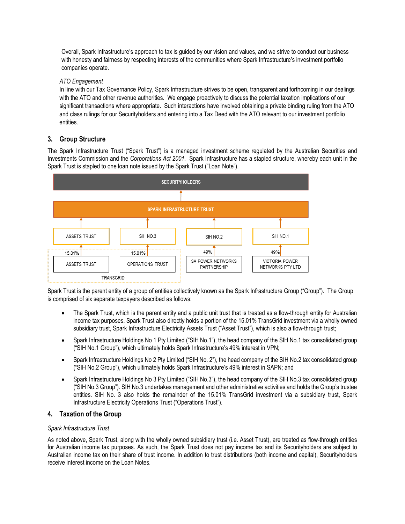Overall, Spark Infrastructure's approach to tax is guided by our vision and values, and we strive to conduct our business with honesty and fairness by respecting interests of the communities where Spark Infrastructure's investment portfolio companies operate.

### *ATO Engagement*

In line with our Tax Governance Policy, Spark Infrastructure strives to be open, transparent and forthcoming in our dealings with the ATO and other revenue authorities. We engage proactively to discuss the potential taxation implications of our significant transactions where appropriate. Such interactions have involved obtaining a private binding ruling from the ATO and class rulings for our Securityholders and entering into a Tax Deed with the ATO relevant to our investment portfolio entities.

# **3. Group Structure**

The Spark Infrastructure Trust ("Spark Trust") is a managed investment scheme regulated by the Australian Securities and Investments Commission and the *Corporations Act 2001.* Spark Infrastructure has a stapled structure, whereby each unit in the Spark Trust is stapled to one loan note issued by the Spark Trust ("Loan Note").



Spark Trust is the parent entity of a group of entities collectively known as the Spark Infrastructure Group ("Group"). The Group is comprised of six separate taxpayers described as follows:

- The Spark Trust, which is the parent entity and a public unit trust that is treated as a flow-through entity for Australian income tax purposes. Spark Trust also directly holds a portion of the 15.01% TransGrid investment via a wholly owned subsidiary trust, Spark Infrastructure Electricity Assets Trust ("Asset Trust"), which is also a flow-through trust;
- Spark Infrastructure Holdings No 1 Pty Limited ("SIH No.1"), the head company of the SIH No.1 tax consolidated group ("SIH No.1 Group"), which ultimately holds Spark Infrastructure's 49% interest in VPN;
- Spark Infrastructure Holdings No 2 Pty Limited ("SIH No. 2"), the head company of the SIH No.2 tax consolidated group ("SIH No.2 Group"), which ultimately holds Spark Infrastructure's 49% interest in SAPN; and
- Spark Infrastructure Holdings No 3 Pty Limited ("SIH No.3"), the head company of the SIH No.3 tax consolidated group ("SIH No.3 Group"). SIH No.3 undertakes management and other administrative activities and holds the Group's trustee entities. SIH No. 3 also holds the remainder of the 15.01% TransGrid investment via a subsidiary trust, Spark Infrastructure Electricity Operations Trust ("Operations Trust").

## **4. Taxation of the Group**

### *Spark Infrastructure Trust*

As noted above, Spark Trust, along with the wholly owned subsidiary trust (i.e. Asset Trust), are treated as flow-through entities for Australian income tax purposes. As such, the Spark Trust does not pay income tax and its Securityholders are subject to Australian income tax on their share of trust income. In addition to trust distributions (both income and capital), Securityholders receive interest income on the Loan Notes.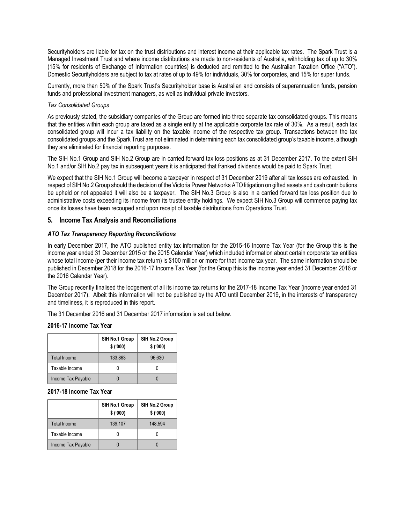Securityholders are liable for tax on the trust distributions and interest income at their applicable tax rates. The Spark Trust is a Managed Investment Trust and where income distributions are made to non-residents of Australia, withholding tax of up to 30% (15% for residents of Exchange of Information countries) is deducted and remitted to the Australian Taxation Office ("ATO"). Domestic Securityholders are subject to tax at rates of up to 49% for individuals, 30% for corporates, and 15% for super funds.

Currently, more than 50% of the Spark Trust's Securityholder base is Australian and consists of superannuation funds, pension funds and professional investment managers, as well as individual private investors.

#### *Tax Consolidated Groups*

As previously stated, the subsidiary companies of the Group are formed into three separate tax consolidated groups. This means that the entities within each group are taxed as a single entity at the applicable corporate tax rate of 30%. As a result, each tax consolidated group will incur a tax liability on the taxable income of the respective tax group. Transactions between the tax consolidated groups and the Spark Trust are not eliminated in determining each tax consolidated group's taxable income, although they are eliminated for financial reporting purposes.

The SIH No.1 Group and SIH No.2 Group are in carried forward tax loss positions as at 31 December 2017. To the extent SIH No.1 and/or SIH No.2 pay tax in subsequent years it is anticipated that franked dividends would be paid to Spark Trust.

We expect that the SIH No.1 Group will become a taxpayer in respect of 31 December 2019 after all tax losses are exhausted. In respect of SIH No.2 Group should the decision of the Victoria Power Networks ATO litigation on gifted assets and cash contributions be upheld or not appealed it will also be a taxpayer. The SIH No.3 Group is also in a carried forward tax loss position due to administrative costs exceeding its income from its trustee entity holdings. We expect SIH No.3 Group will commence paying tax once its losses have been recouped and upon receipt of taxable distributions from Operations Trust.

### **5. Income Tax Analysis and Reconciliations**

### *ATO Tax Transparency Reporting Reconciliations*

In early December 2017, the ATO published entity tax information for the 2015-16 Income Tax Year (for the Group this is the income year ended 31 December 2015 or the 2015 Calendar Year) which included information about certain corporate tax entities whose total income (per their income tax return) is \$100 million or more for that income tax year. The same information should be published in December 2018 for the 2016-17 Income Tax Year (for the Group this is the income year ended 31 December 2016 or the 2016 Calendar Year).

The Group recently finalised the lodgement of all its income tax returns for the 2017-18 Income Tax Year (income year ended 31 December 2017). Albeit this information will not be published by the ATO until December 2019, in the interests of transparency and timeliness, it is reproduced in this report.

The 31 December 2016 and 31 December 2017 information is set out below.

### **2016-17 Income Tax Year**

|                    | SIH No.1 Group<br>\$('000) | SIH No.2 Group<br>\$('000) |
|--------------------|----------------------------|----------------------------|
| Total Income       | 133,863                    | 96.630                     |
| Taxable Income     |                            |                            |
| Income Tax Payable |                            |                            |

### **2017-18 Income Tax Year**

|                     | SIH No.1 Group<br>\$('000) | SIH No.2 Group<br>\$('000) |
|---------------------|----------------------------|----------------------------|
| <b>Total Income</b> | 139,107                    | 148,594                    |
| Taxable Income      |                            |                            |
| Income Tax Payable  |                            |                            |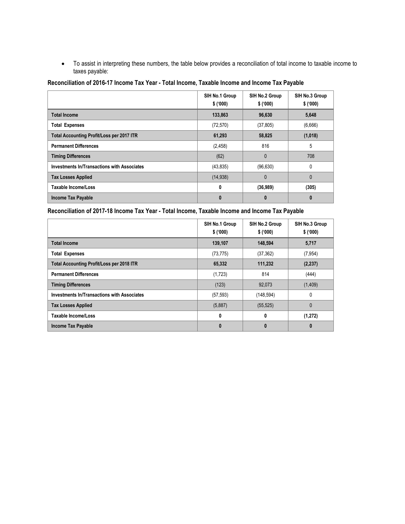• To assist in interpreting these numbers, the table below provides a reconciliation of total income to taxable income to taxes payable:

| Reconciliation of 2016-17 Income Tax Year - Total Income, Taxable Income and Income Tax Payable |  |  |  |  |  |  |  |  |
|-------------------------------------------------------------------------------------------------|--|--|--|--|--|--|--|--|
|-------------------------------------------------------------------------------------------------|--|--|--|--|--|--|--|--|

|                                                    | SIH No.1 Group<br>\$('000) | SIH No.2 Group<br>\$('000) | SIH No.3 Group<br>\$('000) |
|----------------------------------------------------|----------------------------|----------------------------|----------------------------|
| <b>Total Income</b>                                | 133,863                    | 96,630                     | 5,648                      |
| <b>Total Expenses</b>                              | (72, 570)                  | (37, 805)                  | (6,666)                    |
| Total Accounting Profit/Loss per 2017 ITR          | 61,293                     | 58,825                     | (1,018)                    |
| <b>Permanent Differences</b>                       | (2, 458)                   | 816                        | 5                          |
| <b>Timing Differences</b>                          | (62)                       | $\mathbf{0}$               | 708                        |
| <b>Investments In/Transactions with Associates</b> | (43, 835)                  | (96, 630)                  | $\Omega$                   |
| <b>Tax Losses Applied</b>                          | (14, 938)                  | $\mathbf{0}$               | $\mathbf{0}$               |
| Taxable Income/Loss                                | 0                          | (36,989)                   | (305)                      |
| <b>Income Tax Payable</b>                          | 0                          | 0                          |                            |

**Reconciliation of 2017-18 Income Tax Year - Total Income, Taxable Income and Income Tax Payable**

|                                                  | SIH No.1 Group<br>\$('000) | SIH No.2 Group<br>\$('000) | SIH No.3 Group<br>\$('000) |
|--------------------------------------------------|----------------------------|----------------------------|----------------------------|
| <b>Total Income</b>                              | 139,107                    | 148,594                    | 5,717                      |
| <b>Total Expenses</b>                            | (73, 775)                  | (37, 362)                  | (7, 954)                   |
| <b>Total Accounting Profit/Loss per 2018 ITR</b> | 65,332                     | 111,232                    | (2, 237)                   |
| <b>Permanent Differences</b>                     | (1,723)                    | 814                        | (444)                      |
| <b>Timing Differences</b>                        | (123)                      | 92,073                     | (1,409)                    |
| Investments In/Transactions with Associates      | (57, 593)                  | (148, 594)                 | 0                          |
| <b>Tax Losses Applied</b>                        | (5,887)                    | (55, 525)                  | $\mathbf{0}$               |
| Taxable Income/Loss                              | 0                          | 0                          | (1, 272)                   |
| <b>Income Tax Payable</b>                        | 0                          | 0                          | 0                          |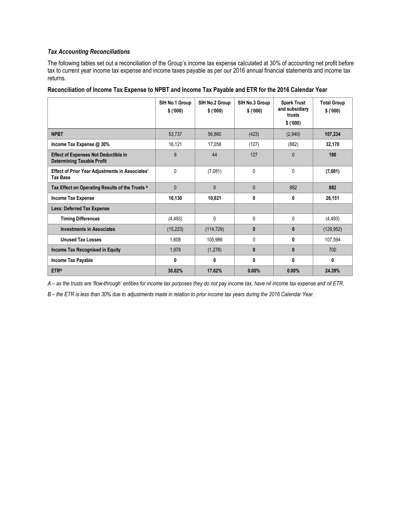### *Tax Accounting Reconciliations*

The following tables set out a reconciliation of the Group's income tax expense calculated at 30% of accounting net profit before tax to current year income tax expense and income taxes payable as per our 2016 annual financial statements and income tax returns.

| Reconciliation of Income Tax Expense to NPBT and Income Tax Payable and ETR for the 2016 Calendar Year |  |  |
|--------------------------------------------------------------------------------------------------------|--|--|
|--------------------------------------------------------------------------------------------------------|--|--|

|                                                                                  | SIH No.1 Group<br>\$('000) | SIH No.2 Group<br>\$('000) | SIH No.3 Group<br>\$('000) | <b>Spark Trust</b><br>and subsidiary<br>trusts<br>\$('000) | <b>Total Group</b><br>\$('000) |
|----------------------------------------------------------------------------------|----------------------------|----------------------------|----------------------------|------------------------------------------------------------|--------------------------------|
| <b>NPBT</b>                                                                      | 53,737                     | 56,860                     | (423)                      | (2,940)                                                    | 107,234                        |
| Income Tax Expense @ 30%                                                         | 16,121                     | 17,058                     | (127)                      | (882)                                                      | 32,170                         |
| <b>Effect of Expenses Not Deductible in</b><br><b>Determining Taxable Profit</b> | 9                          | 44                         | 127                        | $\theta$                                                   | 180                            |
| <b>Effect of Prior Year Adjustments in Associates'</b><br><b>Tax Base</b>        | 0                          | (7,081)                    | $\mathbf{0}$               | $\mathbf{0}$                                               | (7,081)                        |
| Tax Effect on Operating Results of the Trusts A                                  | $\mathbf{0}$               | 0                          | $\mathbf{0}$               | 882                                                        | 882                            |
| <b>Income Tax Expense</b>                                                        | 16,130                     | 10,021                     | 0                          | 0                                                          | 26,151                         |
| <b>Less: Deferred Tax Expense</b>                                                |                            |                            |                            |                                                            |                                |
| <b>Timing Differences</b>                                                        | (4, 493)                   | 0                          | $\mathbf{0}$               | 0                                                          | (4, 493)                       |
| <b>Investments in Associates</b>                                                 | (15, 223)                  | (114, 729)                 | $\bf{0}$                   | $\bf{0}$                                                   | (129, 952)                     |
| <b>Unused Tax Losses</b>                                                         | 1,608                      | 105,986                    | 0                          | 0                                                          | 107,594                        |
| Income Tax Recognised in Equity                                                  | 1,978                      | (1,278)                    | $\bf{0}$                   | $\mathbf{0}$                                               | 700                            |
| Income Tax Payable                                                               | 0                          | 0                          | 0                          | 0                                                          | 0                              |
| <b>ETRB</b>                                                                      | 30.02%                     | 17.62%                     | $0.00\%$                   | 0.00%                                                      | 24.39%                         |

*A – as the trusts are 'flow-through' entities for income tax purposes they do not pay income tax, have nil income tax expense and nil ETR.* 

*B – the ETR is less than 30% due to adjustments made in relation to prior income tax years during the 2016 Calendar Year.*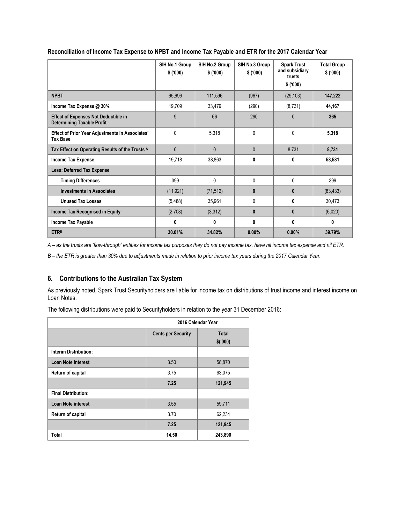|                                                                                  | SIH No.1 Group<br>\$(000) | SIH No.2 Group<br>\$('000) | SIH No.3 Group<br>\$('000) | <b>Spark Trust</b><br>and subsidiary<br>trusts<br>\$('000) | <b>Total Group</b><br>\$('000) |
|----------------------------------------------------------------------------------|---------------------------|----------------------------|----------------------------|------------------------------------------------------------|--------------------------------|
| <b>NPBT</b>                                                                      | 65,696                    | 111,596                    | (967)                      | (29, 103)                                                  | 147,222                        |
| Income Tax Expense @ 30%                                                         | 19,709                    | 33,479                     | (290)                      | (8,731)                                                    | 44,167                         |
| <b>Effect of Expenses Not Deductible in</b><br><b>Determining Taxable Profit</b> | 9                         | 66                         | 290                        | $\mathbf{0}$                                               | 365                            |
| <b>Effect of Prior Year Adjustments in Associates'</b><br><b>Tax Base</b>        | $\mathbf{0}$              | 5,318                      | $\mathbf{0}$               | $\mathbf{0}$                                               | 5,318                          |
| Tax Effect on Operating Results of the Trusts A                                  | $\mathbf{0}$              | $\mathbf{0}$               | $\mathbf{0}$               | 8,731                                                      | 8,731                          |
| Income Tax Expense                                                               | 19,718                    | 38,863                     | 0                          | 0                                                          | 58,581                         |
| <b>Less: Deferred Tax Expense</b>                                                |                           |                            |                            |                                                            |                                |
| <b>Timing Differences</b>                                                        | 399                       | $\mathbf{0}$               | $\mathbf{0}$               | $\mathbf{0}$                                               | 399                            |
| <b>Investments in Associates</b>                                                 | (11, 921)                 | (71, 512)                  | $\mathbf{0}$               | $\mathbf{0}$                                               | (83, 433)                      |
| <b>Unused Tax Losses</b>                                                         | (5, 488)                  | 35,961                     | 0                          | 0                                                          | 30,473                         |
| <b>Income Tax Recognised in Equity</b>                                           | (2,708)                   | (3,312)                    | $\bf{0}$                   | $\mathbf{0}$                                               | (6,020)                        |
| <b>Income Tax Payable</b>                                                        | 0                         | 0                          | 0                          | 0                                                          | 0                              |
| <b>ETRB</b>                                                                      | 30.01%                    | 34.82%                     | 0.00%                      | 0.00%                                                      | 39.79%                         |

**Reconciliation of Income Tax Expense to NPBT and Income Tax Payable and ETR for the 2017 Calendar Year**

*A – as the trusts are 'flow-through' entities for income tax purposes they do not pay income tax, have nil income tax expense and nil ETR.* 

*B – the ETR is greater than 30% due to adjustments made in relation to prior income tax years during the 2017 Calendar Year.*

# **6. Contributions to the Australian Tax System**

As previously noted, Spark Trust Securityholders are liable for income tax on distributions of trust income and interest income on Loan Notes.

The following distributions were paid to Securityholders in relation to the year 31 December 2016:

|                              |                           | 2016 Calendar Year      |
|------------------------------|---------------------------|-------------------------|
|                              | <b>Cents per Security</b> | <b>Total</b><br>\$(000) |
| <b>Interim Distribution:</b> |                           |                         |
| <b>Loan Note interest</b>    | 3.50                      | 58,870                  |
| Return of capital            | 3.75                      | 63,075                  |
|                              | 7.25                      | 121,945                 |
| <b>Final Distribution:</b>   |                           |                         |
| <b>Loan Note interest</b>    | 3.55                      | 59,711                  |
| Return of capital            | 3.70                      | 62,234                  |
|                              | 7.25                      | 121,945                 |
| Total                        | 14.50                     | 243,890                 |